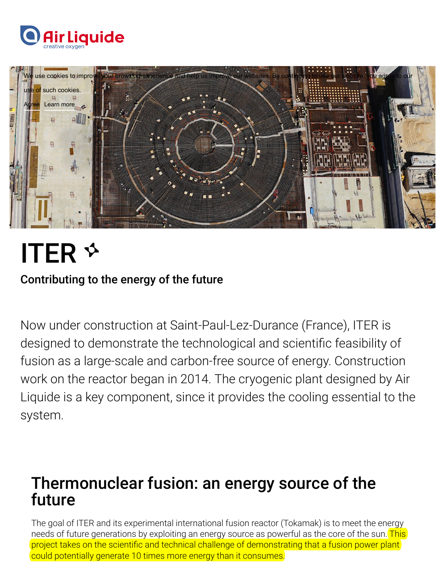



# ITER

#### Contributing to the energy of the future

Now under construction at Saint-Paul-Lez-Durance (France), ITER is designed to demonstrate the technological and scientific feasibility of fusion as a large-scale and carbon-free source of energy. Construction work on the reactor began in 2014. The cryogenic plant designed by Air Liquide is a key component, since it provides the cooling essential to the system.

## Thermonuclear fusion: an energy source of the future

The goal of ITER and its experimental international fusion reactor (Tokamak) is to meet the energy needs of future generations by exploiting an energy source as powerful as the core of the sun. This project takes on the scientific and technical challenge of demonstrating that a fusion power plant could potentially generate 10 times more energy than it consumes.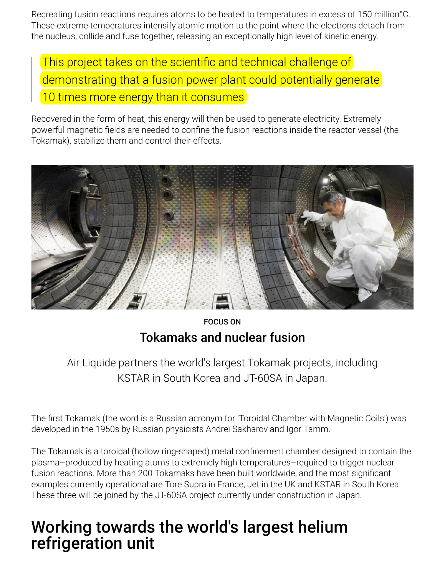Recreating fusion reactions requires atoms to be heated to temperatures in excess of 150 million°C. These extreme temperatures intensify atomic motion to the point where the electrons detach from the nucleus, collide and fuse together, releasing an exceptionally high level of kinetic energy.

This project takes on the scientific and technical challenge of demonstrating that a fusion power plant could potentially generate 10 times more energy than it consumes

Recovered in the form of heat, this energy will then be used to generate electricity. Extremely powerful magnetic fields are needed to confine the fusion reactions inside the reactor vessel (the Tokamak), stabilize them and control their effects.



#### FOCUS ON Tokamaks and nuclear fusion

Air Liquide partners the world's largest Tokamak projects, including KSTAR in South Korea and JT-60SA in Japan.

The first Tokamak (the word is a Russian acronym for 'Toroidal Chamber with Magnetic Coils') was developed in the 1950s by Russian physicists Andreï Sakharov and Igor Tamm.

The Tokamak is a toroidal (hollow ring-shaped) metal confinement chamber designed to contain the plasma–produced by heating atoms to extremely high temperatures–required to trigger nuclear fusion reactions. More than 200 Tokamaks have been built worldwide, and the most significant examples currently operational are Tore Supra in France, Jet in the UK and KSTAR in South Korea. These three will be joined by the JT-60SA project currently under construction in Japan.

# Working towards the world's largest helium refrigeration unit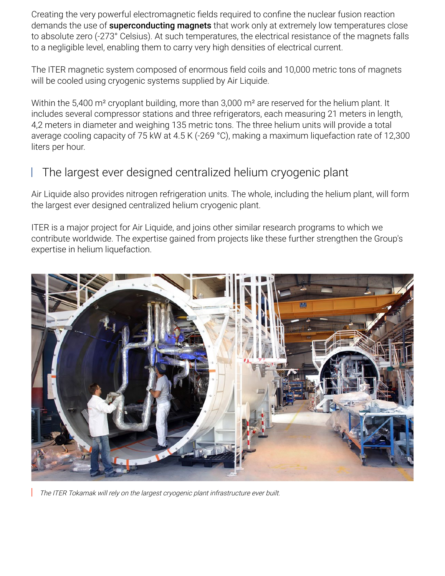Creating the very powerful electromagnetic fields required to confine the nuclear fusion reaction demands the use of **superconducting magnets** that work only at extremely low temperatures close to absolute zero (-273° Celsius). At such temperatures, the electrical resistance of the magnets falls to a negligible level, enabling them to carry very high densities of electrical current.

The ITER magnetic system composed of enormous field coils and 10,000 metric tons of magnets will be cooled using cryogenic systems supplied by Air Liquide.

Within the 5,400 m<sup>2</sup> cryoplant building, more than 3,000 m<sup>2</sup> are reserved for the helium plant. It includes several compressor stations and three refrigerators, each measuring 21 meters in length, 4,2 meters in diameter and weighing 135 metric tons. The three helium units will provide a total average cooling capacity of 75 kW at 4.5 K (-269 °C), making a maximum liquefaction rate of 12,300 liters per hour.

#### The largest ever designed centralized helium cryogenic plant

Air Liquide also provides nitrogen refrigeration units. The whole, including the helium plant, will form the largest ever designed centralized helium cryogenic plant.

ITER is a major project for Air Liquide, and joins other similar research programs to which we contribute worldwide. The expertise gained from projects like these further strengthen the Group's expertise in helium liquefaction.



The ITER Tokamak will rely on the largest cryogenic plant infrastructure ever built.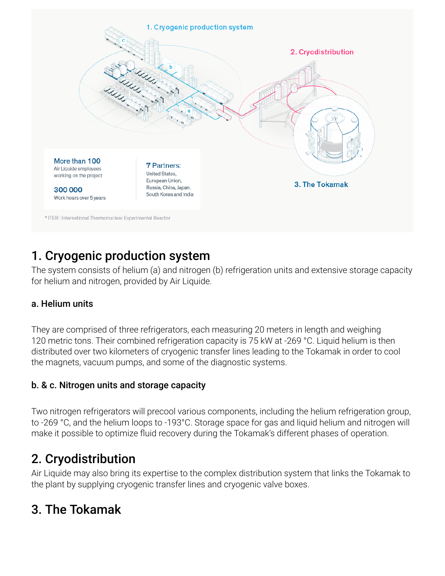

### 1. Cryogenic production system

The system consists of helium (a) and nitrogen (b) refrigeration units and extensive storage capacity for helium and nitrogen, provided by Air Liquide.

#### a. Helium units

They are comprised of three refrigerators, each measuring 20 meters in length and weighing 120 metric tons. Their combined refrigeration capacity is 75 kW at -269 °C. Liquid helium is then distributed over two kilometers of cryogenic transfer lines leading to the Tokamak in order to cool the magnets, vacuum pumps, and some of the diagnostic systems.

#### b. & c. Nitrogen units and storage capacity

Two nitrogen refrigerators will precool various components, including the helium refrigeration group, to -269 °C, and the helium loops to -193°C. Storage space for gas and liquid helium and nitrogen will make it possible to optimize fluid recovery during the Tokamak's different phases of operation.

### 2. Cryodistribution

Air Liquide may also bring its expertise to the complex distribution system that links the Tokamak to the plant by supplying cryogenic transfer lines and cryogenic valve boxes.

## 3. The Tokamak